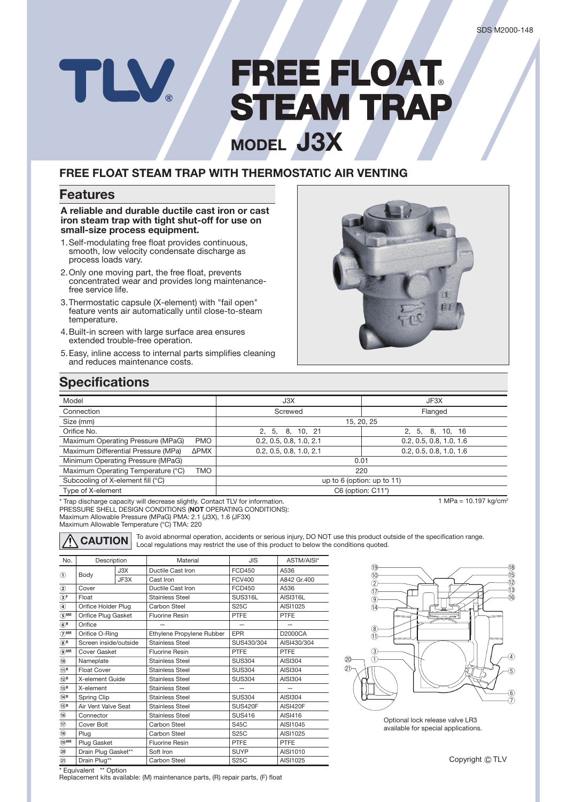# **FREE FLOAT REE** ® **STEAM TRAP TEAM MODEL J3X**

## **FREE FLOAT STEAM TRAP WITH THERMOSTATIC AIR VENTING**

### **Features**

TLV

**A reliable and durable ductile cast iron or cast iron steam trap with tight shut-off for use on small-size process equipment.**

- 1. Self-modulating free float provides continuous, smooth, low velocity condensate discharge as process loads vary.
- 2. Only one moving part, the free float, prevents concentrated wear and provides long maintenancefree service life.
- 3. Thermostatic capsule (X-element) with "fail open" feature vents air automatically until close-to-steam temperature.
- 4. Built-in screen with large surface area ensures extended trouble-free operation.
- 5. Easy, inline access to internal parts simplifies cleaning and reduces maintenance costs.



# **Specifications**

| Model                                            | J3X                          | JF3X                    |  |  |  |
|--------------------------------------------------|------------------------------|-------------------------|--|--|--|
| Connection                                       | Screwed                      | Flanged                 |  |  |  |
| Size (mm)                                        | 15, 20, 25                   |                         |  |  |  |
| Orifice No.                                      | 2, 5, 8, 10, 21              | 2, 5, 8, 10, 16         |  |  |  |
| Maximum Operating Pressure (MPaG)<br><b>PMO</b>  | 0.2, 0.5, 0.8, 1.0, 2.1      | 0.2, 0.5, 0.8, 1.0, 1.6 |  |  |  |
| Maximum Differential Pressure (MPa)<br>ΔΡΜΧ      | 0.2, 0.5, 0.8, 1.0, 2.1      | 0.2, 0.5, 0.8, 1.0, 1.6 |  |  |  |
| Minimum Operating Pressure (MPaG)                | 0.01                         |                         |  |  |  |
| Maximum Operating Temperature (°C)<br><b>TMO</b> | 220                          |                         |  |  |  |
| Subcooling of X-element fill (°C)                | up to $6$ (option: up to 11) |                         |  |  |  |
| Type of X-element                                | $C6$ (option: $C11^*$ )      |                         |  |  |  |

\* Trap discharge capacity will decrease slightly. Contact TLV for information.

PRESSURE SHELL DESIGN CONDITIONS (**NOT** OPERATING CONDITIONS): Maximum Allowable Pressure (MPaG) PMA: 2.1 (J3X), 1.6 (JF3X)

Maximum Allowable Temperature (°C) TMA: 220



**CAUTION** To avoid abnormal operation, accidents or serious injury, DO NOT use this product outside of the specification range. Local regulations may restrict the use of this product to below the conditions quoted.

| No.                                   | Description           |      | Material                  | <b>JIS</b>     | ASTM/AISI*      |  |
|---------------------------------------|-----------------------|------|---------------------------|----------------|-----------------|--|
| $^{\circ}$                            | Body                  | J3X  | Ductile Cast Iron         | <b>FCD450</b>  | A536            |  |
|                                       |                       | JF3X | Cast Iron                 | <b>FCV400</b>  | A842 Gr.400     |  |
| ➁                                     | Cover                 |      | Ductile Cast Iron         | <b>FCD450</b>  | A536            |  |
| $\circledcirc$ F                      | Float                 |      | <b>Stainless Steel</b>    | SUS316L        | AISI316L        |  |
| ◉                                     | Orifice Holder Plug   |      | Carbon Steel              | S25C           | AISI1025        |  |
| $\odot$ MR                            | Orifice Plug Gasket   |      | <b>Fluorine Resin</b>     | <b>PTFE</b>    | PTFE            |  |
| $\odot^R$                             | Orifice               |      |                           |                |                 |  |
| $\odot$ MR                            | Orifice O-Ring        |      | Ethylene Propylene Rubber | <b>EPR</b>     | D2000CA         |  |
| $\circledast^{\mathsf{R}}$            | Screen inside/outside |      | <b>Stainless Steel</b>    | SUS430/304     | AISI430/304     |  |
| $\odot$ mr                            | Cover Gasket          |      | <b>Fluorine Resin</b>     | <b>PTFE</b>    | <b>PTFE</b>     |  |
| $\circledcirc$                        | Nameplate             |      | <b>Stainless Steel</b>    | <b>SUS304</b>  | AISI304         |  |
| $\widehat{(\mathbf{1})}^{\mathsf{R}}$ | <b>Float Cover</b>    |      | <b>Stainless Steel</b>    | <b>SUS304</b>  | <b>AISI304</b>  |  |
| $\bigcirc$ <sup>R</sup>               | X-element Guide       |      | <b>Stainless Steel</b>    | <b>SUS304</b>  | AISI304         |  |
| $\circledR$                           | X-element             |      | <b>Stainless Steel</b>    |                |                 |  |
| $\bigcirc$ <sup>R</sup>               | Spring Clip           |      | <b>Stainless Steel</b>    | <b>SUS304</b>  | AISI304         |  |
| $\circledR$                           | Air Vent Valve Seat   |      | <b>Stainless Steel</b>    | <b>SUS420F</b> | <b>AISI420F</b> |  |
| $\circledast$                         | Connector             |      | <b>Stainless Steel</b>    | <b>SUS416</b>  | AISI416         |  |
| $^{\textcircled{\footnotesize{1}}}$   | Cover Bolt            |      | Carbon Steel              | <b>S45C</b>    | AISI1045        |  |
| $\circledR$                           | Plug                  |      | Carbon Steel              | <b>S25C</b>    | AISI1025        |  |
| $\Theta$ MR                           | Plug Gasket           |      | <b>Fluorine Resin</b>     | <b>PTFE</b>    | PTFE            |  |
| $\circledcirc$                        | Drain Plug Gasket**   |      | Soft Iron                 | <b>SUYP</b>    | AISI1010        |  |
| $\circled{1}$                         | Drain Plug**          |      | Carbon Steel              | <b>S25C</b>    | AISI1025        |  |



Optional lock release valve LR3 available for special applications.

 $1 MPa = 10.197 kg/cm<sup>2</sup>$ 

\* Equivalent \*\* Option Replacement kits available: (M) maintenance parts, (R) repair parts, (F) float